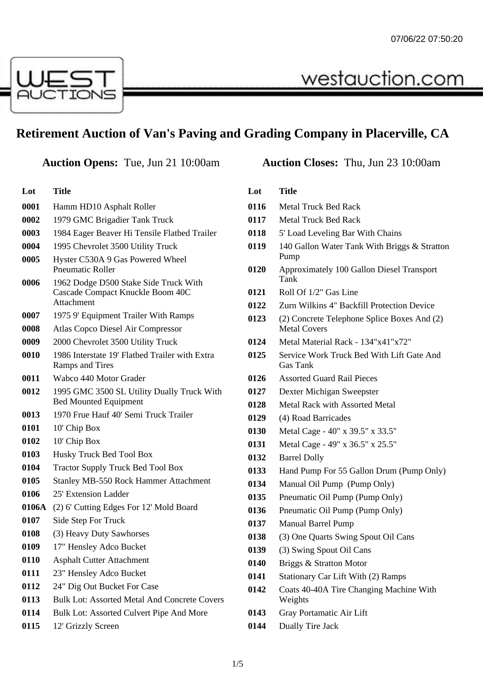

# **Retirement Auction of Van's Paving and Grading Company in Placerville, CA**

**Lot Title** Hamm HD10 Asphalt Roller 1979 GMC Brigadier Tank Truck 1984 Eager Beaver Hi Tensile Flatbed Trailer 1995 Chevrolet 3500 Utility Truck Hyster C530A 9 Gas Powered Wheel Pneumatic Roller 1962 Dodge D500 Stake Side Truck With Cascade Compact Knuckle Boom 40C Attachment 1975 9' Equipment Trailer With Ramps Atlas Copco Diesel Air Compressor 2000 Chevrolet 3500 Utility Truck 1986 Interstate 19' Flatbed Trailer with Extra Ramps and Tires Wabco 440 Motor Grader 1995 GMC 3500 SL Utility Dually Truck With Bed Mounted Equipment 1970 Frue Hauf 40' Semi Truck Trailer 10' Chip Box 10' Chip Box Husky Truck Bed Tool Box Tractor Supply Truck Bed Tool Box Stanley MB-550 Rock Hammer Attachment 25' Extension Ladder **0106A** (2) 6' Cutting Edges For 12' Mold Board Side Step For Truck (3) Heavy Duty Sawhorses 17" Hensley Adco Bucket Asphalt Cutter Attachment 23" Hensley Adco Bucket 24" Dig Out Bucket For Case Bulk Lot: Assorted Metal And Concrete Covers Bulk Lot: Assorted Culvert Pipe And More 12' Grizzly Screen

### **Auction Opens:** Tue, Jun 21 10:00am **Auction Closes:** Thu, Jun 23 10:00am

westauction.com

#### **Lot Title**

- Metal Truck Bed Rack
- Metal Truck Bed Rack
- 5' Load Leveling Bar With Chains
- 140 Gallon Water Tank With Briggs & Stratton Pump
- Approximately 100 Gallon Diesel Transport Tank
- Roll Of 1/2" Gas Line
- Zurn Wilkins 4" Backfill Protection Device
- (2) Concrete Telephone Splice Boxes And (2) Metal Covers
- Metal Material Rack 134"x41"x72"
- Service Work Truck Bed With Lift Gate And Gas Tank
- Assorted Guard Rail Pieces
- Dexter Michigan Sweepster
- Metal Rack with Assorted Metal
- (4) Road Barricades
- Metal Cage 40" x 39.5" x 33.5"
- Metal Cage 49" x 36.5" x 25.5"
- Barrel Dolly
- Hand Pump For 55 Gallon Drum (Pump Only)
- Manual Oil Pump (Pump Only)
- Pneumatic Oil Pump (Pump Only)
- Pneumatic Oil Pump (Pump Only)
- Manual Barrel Pump
- (3) One Quarts Swing Spout Oil Cans
- (3) Swing Spout Oil Cans
- Briggs & Stratton Motor
- Stationary Car Lift With (2) Ramps
- Coats 40-40A Tire Changing Machine With Weights
- Gray Portamatic Air Lift
- Dually Tire Jack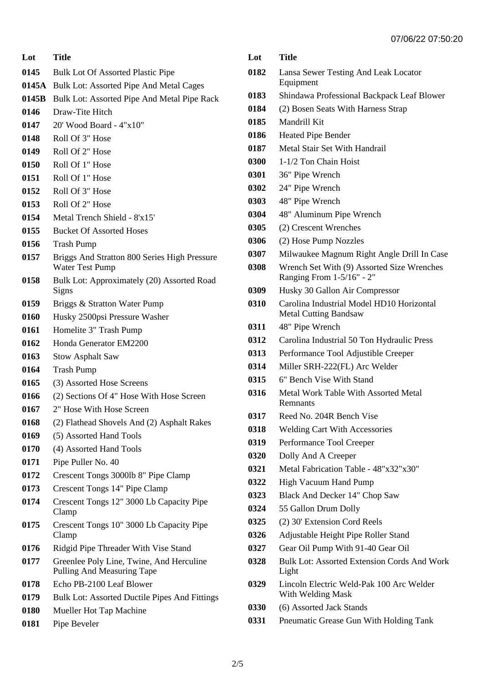**Lot Title**

- Bulk Lot Of Assorted Plastic Pipe
- **0145A** Bulk Lot: Assorted Pipe And Metal Cages
- **0145B** Bulk Lot: Assorted Pipe And Metal Pipe Rack
- Draw-Tite Hitch
- 20' Wood Board 4"x10"
- Roll Of 3" Hose
- Roll Of 2" Hose
- Roll Of 1" Hose
- Roll Of 1" Hose
- Roll Of 3" Hose
- Roll Of 2" Hose
- Metal Trench Shield 8'x15'
- Bucket Of Assorted Hoses
- Trash Pump
- Briggs And Stratton 800 Series High Pressure Water Test Pump
- Bulk Lot: Approximately (20) Assorted Road Signs
- Briggs & Stratton Water Pump
- Husky 2500psi Pressure Washer
- Homelite 3" Trash Pump
- Honda Generator EM2200
- Stow Asphalt Saw
- Trash Pump
- (3) Assorted Hose Screens
- (2) Sections Of 4" Hose With Hose Screen
- 2" Hose With Hose Screen
- (2) Flathead Shovels And (2) Asphalt Rakes
- (5) Assorted Hand Tools
- (4) Assorted Hand Tools
- Pipe Puller No. 40
- Crescent Tongs 3000lb 8" Pipe Clamp
- Crescent Tongs 14" Pipe Clamp
- Crescent Tongs 12" 3000 Lb Capacity Pipe Clamp
- Crescent Tongs 10" 3000 Lb Capacity Pipe Clamp
- Ridgid Pipe Threader With Vise Stand
- Greenlee Poly Line, Twine, And Herculine Pulling And Measuring Tape
- Echo PB-2100 Leaf Blower
- Bulk Lot: Assorted Ductile Pipes And Fittings
- Mueller Hot Tap Machine
- Pipe Beveler

| Lot  | <b>Title</b>                                                              |
|------|---------------------------------------------------------------------------|
| 0182 | Lansa Sewer Testing And Leak Locator<br>Equipment                         |
| 0183 | Shindawa Professional Backpack Leaf Blower                                |
| 0184 | (2) Bosen Seats With Harness Strap                                        |
| 0185 | Mandrill Kit                                                              |
| 0186 | <b>Heated Pipe Bender</b>                                                 |
| 0187 | Metal Stair Set With Handrail                                             |
| 0300 | 1-1/2 Ton Chain Hoist                                                     |
| 0301 | 36" Pipe Wrench                                                           |
| 0302 | 24" Pipe Wrench                                                           |
| 0303 | 48" Pipe Wrench                                                           |
| 0304 | 48" Aluminum Pipe Wrench                                                  |
| 0305 | (2) Crescent Wrenches                                                     |
| 0306 | (2) Hose Pump Nozzles                                                     |
| 0307 | Milwaukee Magnum Right Angle Drill In Case                                |
| 0308 | Wrench Set With (9) Assorted Size Wrenches<br>Ranging From 1-5/16" - 2"   |
| 0309 | Husky 30 Gallon Air Compressor                                            |
| 0310 | Carolina Industrial Model HD10 Horizontal<br><b>Metal Cutting Bandsaw</b> |
| 0311 | 48" Pipe Wrench                                                           |
| 0312 | Carolina Industrial 50 Ton Hydraulic Press                                |
| 0313 | Performance Tool Adjustible Creeper                                       |
| 0314 | Miller SRH-222(FL) Arc Welder                                             |
| 0315 | 6" Bench Vise With Stand                                                  |
| 0316 | <b>Metal Work Table With Assorted Metal</b><br>Remnants                   |
| 0317 | Reed No. 204R Bench Vise                                                  |
| 0318 | Welding Cart With Accessories                                             |
| 0319 | Performance Tool Creeper                                                  |
| 0320 | Dolly And A Creeper                                                       |
| 0321 | Metal Fabrication Table - 48"x32"x30"                                     |
| 0322 | <b>High Vacuum Hand Pump</b>                                              |
| 0323 | Black And Decker 14" Chop Saw                                             |
| 0324 | 55 Gallon Drum Dolly                                                      |
| 0325 | (2) 30' Extension Cord Reels                                              |
| 0326 | Adjustable Height Pipe Roller Stand                                       |
| 0327 | Gear Oil Pump With 91-40 Gear Oil                                         |
| 0328 | Bulk Lot: Assorted Extension Cords And Work<br>Light                      |
| 0329 | Lincoln Electric Weld-Pak 100 Arc Welder<br>With Welding Mask             |
| 0330 | (6) Assorted Jack Stands                                                  |

Pneumatic Grease Gun With Holding Tank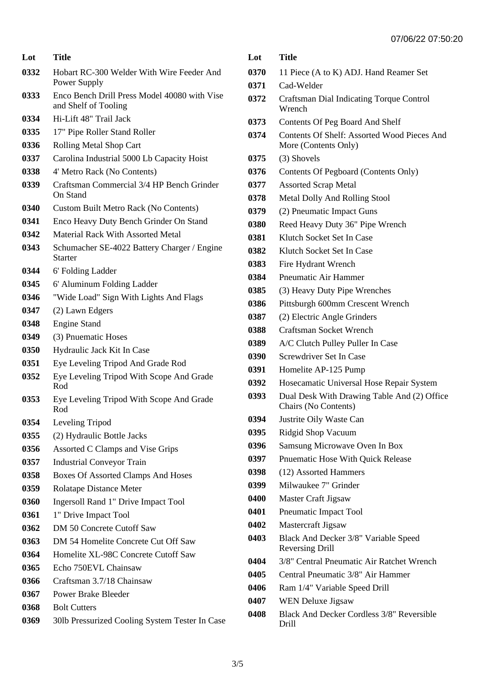| Lot  | <b>Title</b>                                                         |
|------|----------------------------------------------------------------------|
| 0332 | Hobart RC-300 Welder With Wire Feeder And<br>Power Supply            |
| 0333 | Enco Bench Drill Press Model 40080 with Vise<br>and Shelf of Tooling |
| 0334 | Hi-Lift 48" Trail Jack                                               |
| 0335 | 17" Pipe Roller Stand Roller                                         |
| 0336 | Rolling Metal Shop Cart                                              |
| 0337 | Carolina Industrial 5000 Lb Capacity Hoist                           |
| 0338 | 4' Metro Rack (No Contents)                                          |
| 0339 | Craftsman Commercial 3/4 HP Bench Grinder<br>On Stand                |
| 0340 | <b>Custom Built Metro Rack (No Contents)</b>                         |
| 0341 | Enco Heavy Duty Bench Grinder On Stand                               |
| 0342 | Material Rack With Assorted Metal                                    |
| 0343 | Schumacher SE-4022 Battery Charger / Engine<br><b>Starter</b>        |
| 0344 | 6' Folding Ladder                                                    |
| 0345 | 6' Aluminum Folding Ladder                                           |
| 0346 | "Wide Load" Sign With Lights And Flags                               |
| 0347 | (2) Lawn Edgers                                                      |
| 0348 | <b>Engine Stand</b>                                                  |
| 0349 | (3) Pnuematic Hoses                                                  |
| 0350 | Hydraulic Jack Kit In Case                                           |
| 0351 | Eye Leveling Tripod And Grade Rod                                    |
| 0352 | Eye Leveling Tripod With Scope And Grade<br>Rod                      |
| 0353 | Eye Leveling Tripod With Scope And Grade<br>Rod                      |
| 0354 | Leveling Tripod                                                      |
| 0355 | (2) Hydraulic Bottle Jacks                                           |
| 0356 | Assorted C Clamps and Vise Grips                                     |
| 0357 | <b>Industrial Conveyor Train</b>                                     |
| 0358 | Boxes Of Assorted Clamps And Hoses                                   |
| 0359 | Rolatape Distance Meter                                              |
| 0360 | <b>Ingersoll Rand 1" Drive Impact Tool</b>                           |
| 0361 | 1" Drive Impact Tool                                                 |
| 0362 | DM 50 Concrete Cutoff Saw                                            |
| 0363 | DM 54 Homelite Concrete Cut Off Saw                                  |
| 0364 | Homelite XL-98C Concrete Cutoff Saw                                  |
| 0365 | Echo 750EVL Chainsaw                                                 |
| 0366 | Craftsman 3.7/18 Chainsaw                                            |
| 0367 | <b>Power Brake Bleeder</b>                                           |
| 0368 | <b>Bolt Cutters</b>                                                  |
| 0369 | 30lb Pressurized Cooling System Tester In Case                       |

| Lot  | <b>Title</b>                                                        |
|------|---------------------------------------------------------------------|
| 0370 | 11 Piece (A to K) ADJ. Hand Reamer Set                              |
| 0371 | Cad-Welder                                                          |
| 0372 | <b>Craftsman Dial Indicating Torque Control</b><br>Wrench           |
| 0373 | Contents Of Peg Board And Shelf                                     |
| 0374 | Contents Of Shelf: Assorted Wood Pieces And<br>More (Contents Only) |
| 0375 | (3) Shovels                                                         |
| 0376 | Contents Of Pegboard (Contents Only)                                |
| 0377 | <b>Assorted Scrap Metal</b>                                         |
| 0378 | Metal Dolly And Rolling Stool                                       |
| 0379 | (2) Pneumatic Impact Guns                                           |
| 0380 | Reed Heavy Duty 36" Pipe Wrench                                     |
| 0381 | Klutch Socket Set In Case                                           |
| 0382 | Klutch Socket Set In Case                                           |
| 0383 | Fire Hydrant Wrench                                                 |
| 0384 | Pneumatic Air Hammer                                                |
| 0385 | (3) Heavy Duty Pipe Wrenches                                        |
| 0386 | Pittsburgh 600mm Crescent Wrench                                    |
| 0387 | (2) Electric Angle Grinders                                         |
| 0388 | Craftsman Socket Wrench                                             |
| 0389 | A/C Clutch Pulley Puller In Case                                    |
| 0390 | Screwdriver Set In Case                                             |
| 0391 | Homelite AP-125 Pump                                                |
| 0392 | Hosecamatic Universal Hose Repair System                            |
| 0393 | Dual Desk With Drawing Table And (2) Office<br>Chairs (No Contents) |
| 0394 | Justrite Oily Waste Can                                             |
| 0395 | Ridgid Shop Vacuum                                                  |
| 0396 | Samsung Microwave Oven In Box                                       |
| 0397 | Pnuematic Hose With Quick Release                                   |
| 0398 | (12) Assorted Hammers                                               |
| 0399 | Milwaukee 7" Grinder                                                |
| 0400 | Master Craft Jigsaw                                                 |
| 0401 | Pneumatic Impact Tool                                               |
| 0402 | Mastercraft Jigsaw                                                  |
| 0403 | Black And Decker 3/8" Variable Speed<br>Reversing Drill             |
| 0404 | 3/8" Central Pneumatic Air Ratchet Wrench                           |
| 0405 | Central Pneumatic 3/8" Air Hammer                                   |
| 0406 | Ram 1/4" Variable Speed Drill                                       |
| 0407 | <b>WEN</b> Deluxe Jigsaw                                            |
| 0408 | Black And Decker Cordless 3/8" Reversible<br>Drill                  |
|      |                                                                     |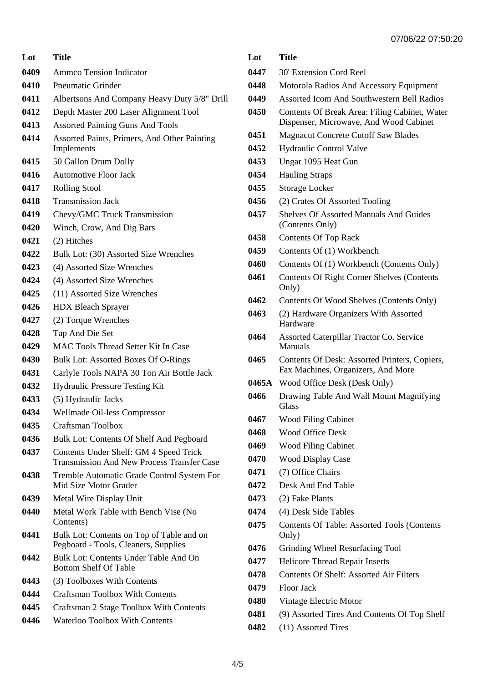**Lot Title** Ammco Tension Indicator Pneumatic Grinder Albertsons And Company Heavy Duty 5/8" Drill Depth Master 200 Laser Alignment Tool Assorted Painting Guns And Tools Assorted Paints, Primers, And Other Painting Implements 50 Gallon Drum Dolly Automotive Floor Jack Rolling Stool Transmission Jack Chevy/GMC Truck Transmission Winch, Crow, And Dig Bars (2) Hitches Bulk Lot: (30) Assorted Size Wrenches (4) Assorted Size Wrenches (4) Assorted Size Wrenches (11) Assorted Size Wrenches HDX Bleach Sprayer (2) Torque Wrenches Tap And Die Set MAC Tools Thread Setter Kit In Case Bulk Lot: Assorted Boxes Of O-Rings Carlyle Tools NAPA 30 Ton Air Bottle Jack Hydraulic Pressure Testing Kit (5) Hydraulic Jacks Wellmade Oil-less Compressor Craftsman Toolbox Bulk Lot: Contents Of Shelf And Pegboard Contents Under Shelf: GM 4 Speed Trick Transmission And New Process Transfer Case Tremble Automatic Grade Control System For Mid Size Motor Grader Metal Wire Display Unit Metal Work Table with Bench Vise (No Contents) Bulk Lot: Contents on Top of Table and on Pegboard - Tools, Cleaners, Supplies Bulk Lot: Contents Under Table And On Bottom Shelf Of Table (3) Toolboxes With Contents Craftsman Toolbox With Contents Craftsman 2 Stage Toolbox With Contents Waterloo Toolbox With Contents

| Lot   | Title                                                                                   |
|-------|-----------------------------------------------------------------------------------------|
| 0447  | 30' Extension Cord Reel                                                                 |
| 0448  | Motorola Radios And Accessory Equipment                                                 |
| 0449  | Assorted Icom And Southwestern Bell Radios                                              |
| 0450  | Contents Of Break Area: Filing Cabinet, Water<br>Dispenser, Microwave, And Wood Cabinet |
| 0451  | <b>Magnacut Concrete Cutoff Saw Blades</b>                                              |
| 0452  | <b>Hydraulic Control Valve</b>                                                          |
| 0453  | Ungar 1095 Heat Gun                                                                     |
| 0454  | <b>Hauling Straps</b>                                                                   |
| 0455  | Storage Locker                                                                          |
| 0456  | (2) Crates Of Assorted Tooling                                                          |
| 0457  | <b>Shelves Of Assorted Manuals And Guides</b><br>(Contents Only)                        |
| 0458  | <b>Contents Of Top Rack</b>                                                             |
| 0459  | Contents Of (1) Workbench                                                               |
| 0460  | Contents Of (1) Workbench (Contents Only)                                               |
| 0461  | <b>Contents Of Right Corner Shelves (Contents</b><br>Only)                              |
| 0462  | Contents Of Wood Shelves (Contents Only)                                                |
| 0463  | (2) Hardware Organizers With Assorted<br>Hardware                                       |
| 0464  | Assorted Caterpillar Tractor Co. Service<br>Manuals                                     |
| 0465  | Contents Of Desk: Assorted Printers, Copiers,<br>Fax Machines, Organizers, And More     |
| 0465A | Wood Office Desk (Desk Only)                                                            |
| 0466  | Drawing Table And Wall Mount Magnifying<br>Glass                                        |
| 0467  | <b>Wood Filing Cabinet</b>                                                              |
| 0468  | <b>Wood Office Desk</b>                                                                 |
| 0469  | <b>Wood Filing Cabinet</b>                                                              |
| 0470  | <b>Wood Display Case</b>                                                                |
| 0471  | (7) Office Chairs                                                                       |
| 0472  | Desk And End Table                                                                      |
| 0473  | (2) Fake Plants                                                                         |
| 0474  | (4) Desk Side Tables                                                                    |
| 0475  | <b>Contents Of Table: Assorted Tools (Contents</b><br>Only)                             |
| 0476  | Grinding Wheel Resurfacing Tool                                                         |
| 0477  | <b>Helicore Thread Repair Inserts</b>                                                   |
| 0478  | Contents Of Shelf: Assorted Air Filters                                                 |
| 0479  | <b>Floor Jack</b>                                                                       |
| 0480  | Vintage Electric Motor                                                                  |
| 0481  | (9) Assorted Tires And Contents Of Top Shelf                                            |
| 0482  | (11) Assorted Tires                                                                     |